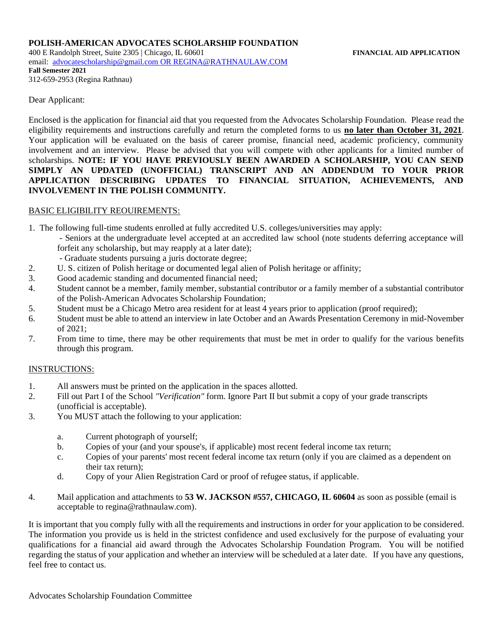400 E Randolph Street, Suite 2305 | Chicago, IL 60601 **FINANCIAL AID APPLICATION** email: [advocatescholarship@gmail.com](mailto:advocatescholarship@gmail.com) O[R REGINA@RATHNAULAW.COM](mailto:REGINA@RATHNAULAW.COM) **Fall Semester 2021**  312-659-2953 (Regina Rathnau)

Dear Applicant:

Enclosed is the application for financial aid that you requested from the Advocates Scholarship Foundation. Please read the eligibility requirements and instructions carefully and return the completed forms to us **no later than October 31, 2021**. Your application will be evaluated on the basis of career promise, financial need, academic proficiency, community involvement and an interview. Please be advised that you will compete with other applicants for a limited number of scholarships. **NOTE: IF YOU HAVE PREVIOUSLY BEEN AWARDED A SCHOLARSHIP, YOU CAN SEND SIMPLY AN UPDATED (UNOFFICIAL) TRANSCRIPT AND AN ADDENDUM TO YOUR PRIOR APPLICATION DESCRIBING UPDATES TO FINANCIAL SITUATION, ACHIEVEMENTS, AND INVOLVEMENT IN THE POLISH COMMUNITY.**

### BASIC ELIGIBILITY REOUIREMENTS:

1. The following full-time students enrolled at fully accredited U.S. colleges/universities may apply:

- Seniors at the undergraduate level accepted at an accredited law school (note students deferring acceptance will forfeit any scholarship, but may reapply at a later date);
- Graduate students pursuing a juris doctorate degree;
- 2. U. S. citizen of Polish heritage or documented legal alien of Polish heritage or affinity;
- 3. Good academic standing and documented financial need;
- 4. Student cannot be a member, family member, substantial contributor or a family member of a substantial contributor of the Polish-American Advocates Scholarship Foundation;
- 5. Student must be a Chicago Metro area resident for at least 4 years prior to application (proof required);
- 6. Student must be able to attend an interview in late October and an Awards Presentation Ceremony in mid-November of 2021;
- 7. From time to time, there may be other requirements that must be met in order to qualify for the various benefits through this program.

### INSTRUCTIONS:

- 1. All answers must be printed on the application in the spaces allotted.
- 2. Fill out Part I of the School *"Verification"* form. Ignore Part II but submit a copy of your grade transcripts (unofficial is acceptable).
- 3. You MUST attach the following to your application:
	- a. Current photograph of yourself;
	- b. Copies of your (and your spouse's, if applicable) most recent federal income tax return;
	- c. Copies of your parents' most recent federal income tax return (only if you are claimed as a dependent on their tax return);
	- d. Copy of your Alien Registration Card or proof of refugee status, if applicable.
- 4. Mail application and attachments to **53 W. JACKSON #557, CHICAGO, IL 60604** as soon as possible (email is acceptable to regina@rathnaulaw.com).

It is important that you comply fully with all the requirements and instructions in order for your application to be considered. The information you provide us is held in the strictest confidence and used exclusively for the purpose of evaluating your qualifications for a financial aid award through the Advocates Scholarship Foundation Program. You will be notified regarding the status of your application and whether an interview will be scheduled at a later date. If you have any questions, feel free to contact us.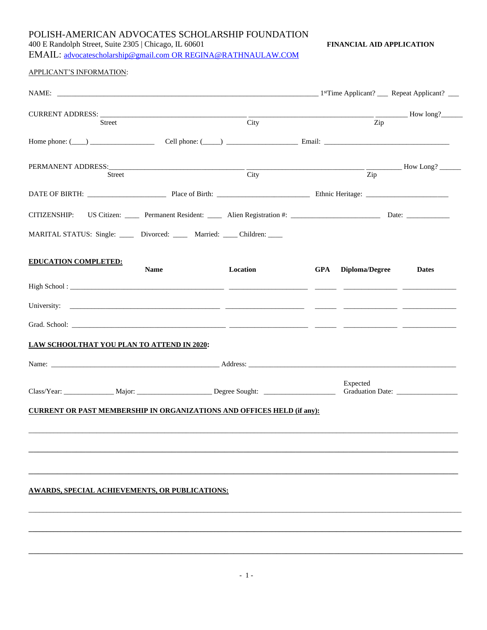400 E Randolph Street, Suite 2305 | Chicago, IL 60601 **FINANCIAL AID APPLICATION**

EMAIL: [advocatescholarship@gmail.com](mailto:advocatescholarship@gmail.com) OR [REGINA@RATHNAULAW.COM](mailto:REGINA@RATHNAULAW.COM)

| APPLICANT'S INFORMATION: |
|--------------------------|
|--------------------------|

| Street                                                                        |             | City     |     | <b>EXAMPLE 2018</b> How long?<br>Zip |                         |
|-------------------------------------------------------------------------------|-------------|----------|-----|--------------------------------------|-------------------------|
|                                                                               |             |          |     |                                      |                         |
|                                                                               |             |          |     |                                      | $\frac{1}{2}$ How Long? |
| Street                                                                        |             | City     |     | Zip                                  |                         |
|                                                                               |             |          |     |                                      |                         |
|                                                                               |             |          |     |                                      |                         |
| MARITAL STATUS: Single: _____ Divorced: _____ Married: ____ Children: ____    |             |          |     |                                      |                         |
| <b>EDUCATION COMPLETED:</b>                                                   | <b>Name</b> | Location | GPA | Diploma/Degree                       | <b>Dates</b>            |
|                                                                               |             |          |     |                                      |                         |
|                                                                               |             |          |     |                                      |                         |
|                                                                               |             |          |     |                                      |                         |
| LAW SCHOOLTHAT YOU PLAN TO ATTEND IN 2020:                                    |             |          |     |                                      |                         |
|                                                                               |             |          |     |                                      |                         |
|                                                                               |             |          |     | Expected                             |                         |
| <b>CURRENT OR PAST MEMBERSHIP IN ORGANIZATIONS AND OFFICES HELD (if any):</b> |             |          |     |                                      |                         |
|                                                                               |             |          |     |                                      |                         |
|                                                                               |             |          |     |                                      |                         |
|                                                                               |             |          |     |                                      |                         |
| AWARDS, SPECIAL ACHIEVEMENTS, OR PUBLICATIONS:                                |             |          |     |                                      |                         |
|                                                                               |             |          |     |                                      |                         |
|                                                                               |             |          |     |                                      |                         |

\_\_\_\_\_\_\_\_\_\_\_\_\_\_\_\_\_\_\_\_\_\_\_\_\_\_\_\_\_\_\_\_\_\_\_\_\_\_\_\_\_\_\_\_\_\_\_\_\_\_\_\_\_\_\_\_\_\_\_\_\_\_\_\_\_\_\_\_\_\_\_\_\_\_\_\_\_\_\_\_\_\_\_\_\_\_\_\_\_\_\_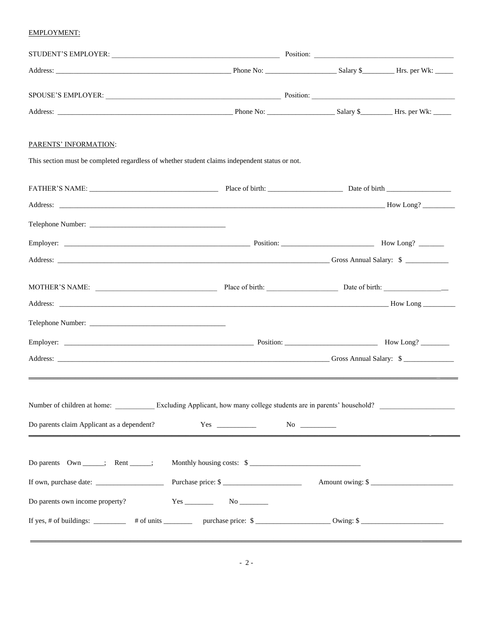#### **EMPLOYMENT:**

| PARENTS' INFORMATION:                                                                                 |                           |                  |
|-------------------------------------------------------------------------------------------------------|---------------------------|------------------|
| This section must be completed regardless of whether student claims independent status or not.        |                           |                  |
|                                                                                                       |                           |                  |
|                                                                                                       |                           |                  |
|                                                                                                       |                           |                  |
|                                                                                                       |                           |                  |
|                                                                                                       |                           |                  |
|                                                                                                       |                           |                  |
|                                                                                                       |                           |                  |
|                                                                                                       |                           |                  |
|                                                                                                       |                           |                  |
|                                                                                                       |                           |                  |
|                                                                                                       |                           |                  |
| Number of children at home: Excluding Applicant, how many college students are in parents' household? |                           |                  |
| Do parents claim Applicant as a dependent?                                                            |                           |                  |
|                                                                                                       |                           |                  |
| Do parents Own ______; Rent _____;                                                                    | Monthly housing costs: \$ |                  |
|                                                                                                       | Purchase price: \$        | Amount owing: \$ |
| Do parents own income property?                                                                       | $Yes$ No $N$              |                  |
|                                                                                                       |                           |                  |
|                                                                                                       |                           |                  |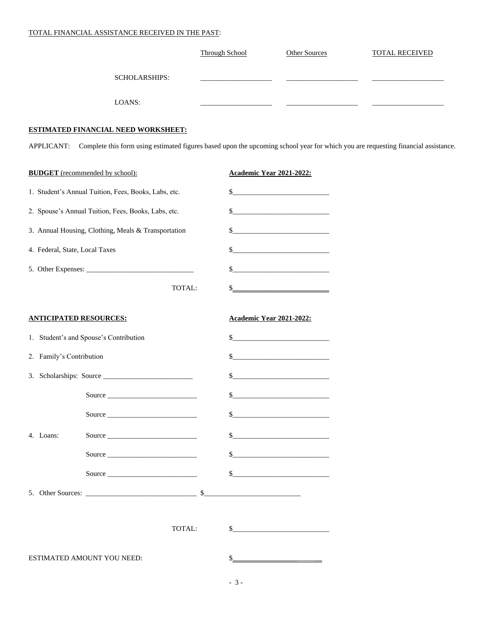#### TOTAL FINANCIAL ASSISTANCE RECEIVED IN THE PAST:

|                                                      |                      | <b>Through School</b> | Other Sources                                                                                                                                                                                                                                                                                                                                                                                                                                                                                                                                                                                                                        | <b>TOTAL RECEIVED</b>                                                                                                                        |
|------------------------------------------------------|----------------------|-----------------------|--------------------------------------------------------------------------------------------------------------------------------------------------------------------------------------------------------------------------------------------------------------------------------------------------------------------------------------------------------------------------------------------------------------------------------------------------------------------------------------------------------------------------------------------------------------------------------------------------------------------------------------|----------------------------------------------------------------------------------------------------------------------------------------------|
|                                                      | <b>SCHOLARSHIPS:</b> |                       |                                                                                                                                                                                                                                                                                                                                                                                                                                                                                                                                                                                                                                      |                                                                                                                                              |
| LOANS:                                               |                      |                       |                                                                                                                                                                                                                                                                                                                                                                                                                                                                                                                                                                                                                                      |                                                                                                                                              |
| <b>ESTIMATED FINANCIAL NEED WORKSHEET:</b>           |                      |                       |                                                                                                                                                                                                                                                                                                                                                                                                                                                                                                                                                                                                                                      |                                                                                                                                              |
|                                                      |                      |                       |                                                                                                                                                                                                                                                                                                                                                                                                                                                                                                                                                                                                                                      | APPLICANT: Complete this form using estimated figures based upon the upcoming school year for which you are requesting financial assistance. |
| <b>BUDGET</b> (recommended by school):               |                      |                       | Academic Year 2021-2022:                                                                                                                                                                                                                                                                                                                                                                                                                                                                                                                                                                                                             |                                                                                                                                              |
| 1. Student's Annual Tuition, Fees, Books, Labs, etc. |                      |                       | $\frac{\text{S}}{\text{S}}$                                                                                                                                                                                                                                                                                                                                                                                                                                                                                                                                                                                                          |                                                                                                                                              |
| 2. Spouse's Annual Tuition, Fees, Books, Labs, etc.  |                      |                       |                                                                                                                                                                                                                                                                                                                                                                                                                                                                                                                                                                                                                                      |                                                                                                                                              |
| 3. Annual Housing, Clothing, Meals & Transportation  |                      |                       | $\begin{array}{c c c c c c} \hline \textbf{S} & \textbf{S} & \textbf{S} & \textbf{S} & \textbf{S} & \textbf{S} & \textbf{S} & \textbf{S} & \textbf{S} & \textbf{S} & \textbf{S} & \textbf{S} & \textbf{S} & \textbf{S} & \textbf{S} & \textbf{S} & \textbf{S} & \textbf{S} & \textbf{S} & \textbf{S} & \textbf{S} & \textbf{S} & \textbf{S} & \textbf{S} & \textbf{S} & \textbf{S} & \textbf{S} & \textbf{S} & \textbf{$                                                                                                                                                                                                             |                                                                                                                                              |
| 4. Federal, State, Local Taxes                       |                      | \$                    |                                                                                                                                                                                                                                                                                                                                                                                                                                                                                                                                                                                                                                      |                                                                                                                                              |
|                                                      |                      | \$                    |                                                                                                                                                                                                                                                                                                                                                                                                                                                                                                                                                                                                                                      |                                                                                                                                              |
|                                                      | TOTAL:               | \$                    |                                                                                                                                                                                                                                                                                                                                                                                                                                                                                                                                                                                                                                      |                                                                                                                                              |
| <b>ANTICIPATED RESOURCES:</b>                        |                      |                       | Academic Year 2021-2022:                                                                                                                                                                                                                                                                                                                                                                                                                                                                                                                                                                                                             |                                                                                                                                              |
| 1. Student's and Spouse's Contribution               |                      |                       | $\begin{picture}(20,10) \put(0,0){\vector(1,0){100}} \put(15,0){\vector(1,0){100}} \put(15,0){\vector(1,0){100}} \put(15,0){\vector(1,0){100}} \put(15,0){\vector(1,0){100}} \put(15,0){\vector(1,0){100}} \put(15,0){\vector(1,0){100}} \put(15,0){\vector(1,0){100}} \put(15,0){\vector(1,0){100}} \put(15,0){\vector(1,0){100}} \put(15,0){\vector(1,0){100}} \$                                                                                                                                                                                                                                                                  |                                                                                                                                              |
| 2. Family's Contribution                             |                      |                       | $\frac{1}{2}$                                                                                                                                                                                                                                                                                                                                                                                                                                                                                                                                                                                                                        |                                                                                                                                              |
| 3. Scholarships: Source                              |                      | \$                    | <u> 1980 - Johann Barbara, martxa a</u>                                                                                                                                                                                                                                                                                                                                                                                                                                                                                                                                                                                              |                                                                                                                                              |
| Source                                               |                      | \$                    |                                                                                                                                                                                                                                                                                                                                                                                                                                                                                                                                                                                                                                      |                                                                                                                                              |
|                                                      | Source               | S.                    |                                                                                                                                                                                                                                                                                                                                                                                                                                                                                                                                                                                                                                      |                                                                                                                                              |
| 4. Loans:                                            | Source               |                       |                                                                                                                                                                                                                                                                                                                                                                                                                                                                                                                                                                                                                                      |                                                                                                                                              |
|                                                      | Source               |                       |                                                                                                                                                                                                                                                                                                                                                                                                                                                                                                                                                                                                                                      |                                                                                                                                              |
|                                                      | Source               |                       | $\begin{tabular}{c} $ \underline{\hspace{1cm}} \underline{\hspace{1cm}} \underline{\hspace{1cm}} \underline{\hspace{1cm}} \underline{\hspace{1cm}} \underline{\hspace{1cm}} \underline{\hspace{1cm}} \underline{\hspace{1cm}} \underline{\hspace{1cm}} \underline{\hspace{1cm}} \underline{\hspace{1cm}} \underline{\hspace{1cm}} \underline{\hspace{1cm}} \underline{\hspace{1cm}} \underline{\hspace{1cm}} \underline{\hspace{1cm}} \underline{\hspace{1cm}} \underline{\hspace{1cm}} \underline{\hspace{1cm}} \underline{\hspace{1cm}} \underline{\hspace{1cm}} \underline{\hspace{1cm}} \underline{\hspace{1cm}} \underline{\hs$ |                                                                                                                                              |
|                                                      |                      |                       |                                                                                                                                                                                                                                                                                                                                                                                                                                                                                                                                                                                                                                      |                                                                                                                                              |
|                                                      | TOTAL:               |                       | $\sim$                                                                                                                                                                                                                                                                                                                                                                                                                                                                                                                                                                                                                               |                                                                                                                                              |
| ESTIMATED AMOUNT YOU NEED:                           |                      |                       |                                                                                                                                                                                                                                                                                                                                                                                                                                                                                                                                                                                                                                      |                                                                                                                                              |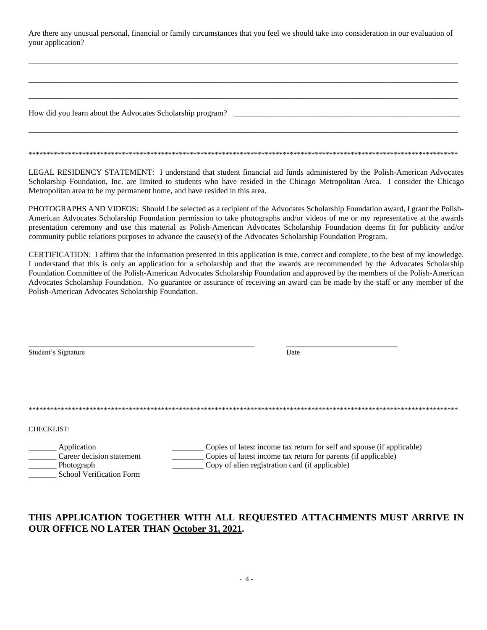Are there any unusual personal, financial or family circumstances that you feel we should take into consideration in our evaluation of your application?

 $\Box$  . The contribution of the contribution of the contribution of the contribution of the contribution of the contribution of the contribution of the contribution of the contribution of the contribution of the contributi

 $\Box$  . The contribution of the contribution of the contribution of the contribution of the contribution of the contribution of the contribution of the contribution of the contribution of the contribution of the contributi

 $\Box$  . The contribution of the contribution of the contribution of the contribution of the contribution of the contribution of the contribution of the contribution of the contribution of the contribution of the contributi

 $\Box$  . The contribution of the contribution of the contribution of the contribution of the contribution of the contribution of the contribution of the contribution of the contribution of the contribution of the contributi

\*\*\*\*\*\*\*\*\*\*\*\*\*\*\*\*\*\*\*\*\*\*\*\*\*\*\*\*\*\*\*\*\*\*\*\*\*\*\*\*\*\*\*\*\*\*\*\*\*\*\*\*\*\*\*\*\*\*\*\*\*\*\*\*\*\*\*\*\*\*\*\*\*\*\*\*\*\*\*\*\*\*\*\*\*\*\*\*\*\*\*\*\*\*\*\*\*\*\*\*\*\*\*\*\*\*\*\*\*\*\*\*\*\*\*\*\*\*\*\*

How did you learn about the Advocates Scholarship program? \_\_\_\_\_\_\_\_\_\_\_\_\_\_\_\_\_\_\_\_\_\_

LEGAL RESIDENCY STATEMENT: I understand that student financial aid funds administered by the Polish-American Advocates Scholarship Foundation, Inc. are limited to students who have resided in the Chicago Metropolitan Area. I consider the Chicago Metropolitan area to be my permanent home, and have resided in this area.

PHOTOGRAPHS AND VIDEOS: Should I be selected as a recipient of the Advocates Scholarship Foundation award, I grant the Polish-American Advocates Scholarship Foundation permission to take photographs and/or videos of me or my representative at the awards presentation ceremony and use this material as Polish-American Advocates Scholarship Foundation deems fit for publicity and/or community public relations purposes to advance the cause(s) of the Advocates Scholarship Foundation Program.

CERTIFICATION: I affirm that the information presented in this application is true, correct and complete, to the best of my knowledge. I understand that this is only an application for a scholarship and that the awards are recommended by the Advocates Scholarship Foundation Committee of the Polish-American Advocates Scholarship Foundation and approved by the members of the Polish-American Advocates Scholarship Foundation. No guarantee or assurance of receiving an award can be made by the staff or any member of the Polish-American Advocates Scholarship Foundation.

| Student's Signature             | Date                                                                   |
|---------------------------------|------------------------------------------------------------------------|
|                                 |                                                                        |
|                                 |                                                                        |
|                                 |                                                                        |
|                                 |                                                                        |
| <b>CHECKLIST:</b>               |                                                                        |
| Application                     | Copies of latest income tax return for self and spouse (if applicable) |
| Career decision statement       | Copies of latest income tax return for parents (if applicable)         |
| Photograph                      | Copy of alien registration card (if applicable)                        |
| <b>School Verification Form</b> |                                                                        |

\_\_\_\_\_\_\_\_\_\_\_\_\_\_\_\_\_\_\_\_\_\_\_\_\_\_\_\_\_\_\_\_\_\_\_\_\_\_\_\_\_\_\_\_\_\_\_\_\_\_\_\_\_\_\_\_\_\_\_\_\_\_\_ \_\_\_\_\_\_\_\_\_\_\_\_\_\_\_\_\_\_\_\_\_\_\_\_\_\_\_\_\_\_\_

# **THIS APPLICATION TOGETHER WITH ALL REQUESTED ATTACHMENTS MUST ARRIVE IN OUR OFFICE NO LATER THAN October 31, 2021.**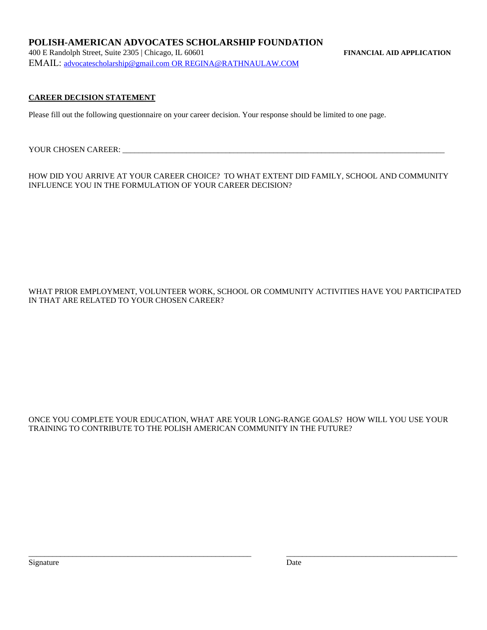400 E Randolph Street, Suite 2305 | Chicago, IL 60601 **FINANCIAL AID APPLICATION** EMAIL: [advocatescholarship@gmail.com](mailto:advocatescholarship@gmail.com) OR [REGINA@RATHNAULAW.COM](mailto:REGINA@RATHNAULAW.COM)

## **CAREER DECISION STATEMENT**

Please fill out the following questionnaire on your career decision. Your response should be limited to one page.

YOUR CHOSEN CAREER:

HOW DID YOU ARRIVE AT YOUR CAREER CHOICE? TO WHAT EXTENT DID FAMILY, SCHOOL AND COMMUNITY INFLUENCE YOU IN THE FORMULATION OF YOUR CAREER DECISION?

WHAT PRIOR EMPLOYMENT, VOLUNTEER WORK, SCHOOL OR COMMUNITY ACTIVITIES HAVE YOU PARTICIPATED IN THAT ARE RELATED TO YOUR CHOSEN CAREER?

#### ONCE YOU COMPLETE YOUR EDUCATION, WHAT ARE YOUR LONG-RANGE GOALS? HOW WILL YOU USE YOUR TRAINING TO CONTRIBUTE TO THE POLISH AMERICAN COMMUNITY IN THE FUTURE?

\_\_\_\_\_\_\_\_\_\_\_\_\_\_\_\_\_\_\_\_\_\_\_\_\_\_\_\_\_\_\_\_\_\_\_\_\_\_\_\_\_\_\_\_\_\_\_\_\_\_\_\_\_\_\_\_ \_\_\_\_\_\_\_\_\_\_\_\_\_\_\_\_\_\_\_\_\_\_\_\_\_\_\_\_\_\_\_\_\_\_\_\_\_\_\_\_\_\_\_